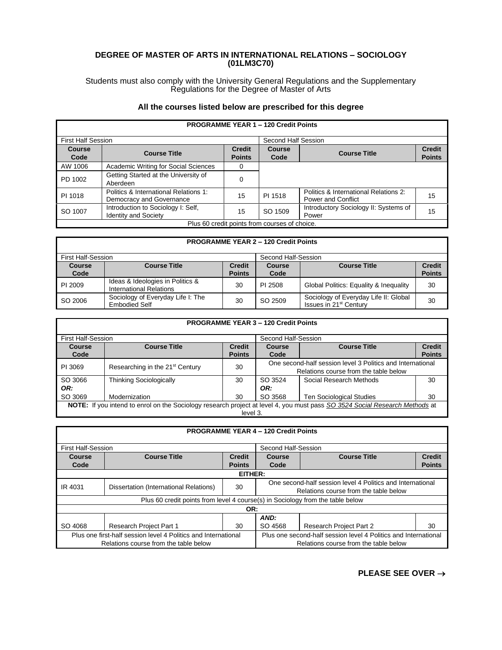## **DEGREE OF MASTER OF ARTS IN INTERNATIONAL RELATIONS – SOCIOLOGY (01LM3C70)**

Students must also comply with the University General Regulations and the Supplementary Regulations for the Degree of Master of Arts

## **All the courses listed below are prescribed for this degree**

| <b>PROGRAMME YEAR 1 - 120 Credit Points</b>   |                                                                   |                                |                |                                                                    |                                |
|-----------------------------------------------|-------------------------------------------------------------------|--------------------------------|----------------|--------------------------------------------------------------------|--------------------------------|
| <b>First Half Session</b>                     |                                                                   | Second Half Session            |                |                                                                    |                                |
| <b>Course</b><br>Code                         | <b>Course Title</b>                                               | <b>Credit</b><br><b>Points</b> | Course<br>Code | <b>Course Title</b>                                                | <b>Credit</b><br><b>Points</b> |
| AW 1006                                       | Academic Writing for Social Sciences                              | 0                              |                |                                                                    |                                |
| PD 1002                                       | Getting Started at the University of<br>Aberdeen                  | 0                              |                |                                                                    |                                |
| PI 1018                                       | Politics & International Relations 1:<br>Democracy and Governance | 15                             | PI 1518        | Politics & International Relations 2:<br><b>Power and Conflict</b> | 15                             |
| SO 1007                                       | Introduction to Sociology I: Self,<br><b>Identity and Society</b> | 15                             | SO 1509        | Introductory Sociology II: Systems of<br>Power                     | 15                             |
| Plus 60 credit points from courses of choice. |                                                                   |                                |                |                                                                    |                                |

Г

| <b>PROGRAMME YEAR 2 - 120 Credit Points</b> |                                                                    |                                |                       |                                                                             |                                |  |  |
|---------------------------------------------|--------------------------------------------------------------------|--------------------------------|-----------------------|-----------------------------------------------------------------------------|--------------------------------|--|--|
| First Half-Session<br>Second Half-Session   |                                                                    |                                |                       |                                                                             |                                |  |  |
| <b>Course</b><br>Code                       | <b>Course Title</b>                                                | <b>Credit</b><br><b>Points</b> | <b>Course</b><br>Code | <b>Course Title</b>                                                         | <b>Credit</b><br><b>Points</b> |  |  |
| PI 2009                                     | Ideas & Ideologies in Politics &<br><b>International Relations</b> | 30                             | PI 2508               | Global Politics: Equality & Inequality                                      | 30                             |  |  |
| SO 2006                                     | Sociology of Everyday Life I: The<br><b>Embodied Self</b>          | 30                             | SO 2509               | Sociology of Everyday Life II: Global<br>Issues in 21 <sup>st</sup> Century | 30                             |  |  |

| <b>PROGRAMME YEAR 3 - 120 Credit Points</b>                                                                                                        |                                             |    |                                                                                                     |                                 |    |  |
|----------------------------------------------------------------------------------------------------------------------------------------------------|---------------------------------------------|----|-----------------------------------------------------------------------------------------------------|---------------------------------|----|--|
| <b>First Half-Session</b>                                                                                                                          |                                             |    | Second Half-Session                                                                                 |                                 |    |  |
| <b>Course Title</b><br><b>Course Title</b><br><b>Credit</b><br><b>Credit</b><br>Course<br>Course<br><b>Points</b><br><b>Points</b><br>Code<br>Code |                                             |    |                                                                                                     |                                 |    |  |
| PI 3069                                                                                                                                            | Researching in the 21 <sup>st</sup> Century | 30 | One second-half session level 3 Politics and International<br>Relations course from the table below |                                 |    |  |
| SO 3066<br>OR:                                                                                                                                     | <b>Thinking Sociologically</b>              | 30 | SO 3524<br>OR:                                                                                      | Social Research Methods         | 30 |  |
| SO 3069                                                                                                                                            | Modernization                               | 30 | SO 3568                                                                                             | <b>Ten Sociological Studies</b> | 30 |  |
| NOTE: If you intend to enrol on the Sociology research project at level 4, you must pass SO 3524 Social Research Methods at<br>level 3.            |                                             |    |                                                                                                     |                                 |    |  |

| <b>PROGRAMME YEAR 4 - 120 Credit Points</b>                                                             |                                        |               |                                                                                                          |                                |               |  |  |  |
|---------------------------------------------------------------------------------------------------------|----------------------------------------|---------------|----------------------------------------------------------------------------------------------------------|--------------------------------|---------------|--|--|--|
| <b>First Half-Session</b>                                                                               |                                        |               | Second Half-Session                                                                                      |                                |               |  |  |  |
| <b>Course Title</b><br><b>Credit</b><br>Course                                                          |                                        |               | Course                                                                                                   | <b>Course Title</b>            | <b>Credit</b> |  |  |  |
| Code                                                                                                    |                                        | <b>Points</b> | Code                                                                                                     |                                | <b>Points</b> |  |  |  |
|                                                                                                         | EITHER:                                |               |                                                                                                          |                                |               |  |  |  |
| IR 4031                                                                                                 | Dissertation (International Relations) | 30            | One second-half session level 4 Politics and International<br>Relations course from the table below      |                                |               |  |  |  |
| Plus 60 credit points from level 4 course(s) in Sociology from the table below                          |                                        |               |                                                                                                          |                                |               |  |  |  |
| OR:                                                                                                     |                                        |               |                                                                                                          |                                |               |  |  |  |
|                                                                                                         | AND:                                   |               |                                                                                                          |                                |               |  |  |  |
| SO 4068                                                                                                 | <b>Research Project Part 1</b>         | 30            | SO 4568                                                                                                  | <b>Research Project Part 2</b> | 30            |  |  |  |
| Plus one first-half session level 4 Politics and International<br>Relations course from the table below |                                        |               | Plus one second-half session level 4 Politics and International<br>Relations course from the table below |                                |               |  |  |  |

**PLEASE SEE OVER** →